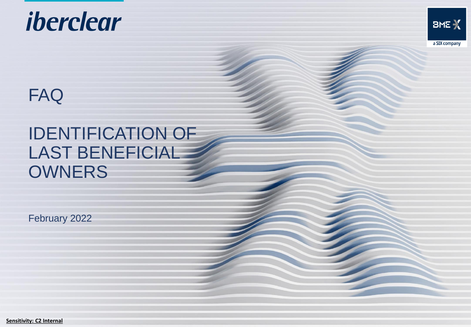



# FAQ

# IDENTIFICATION OF LAST BENEFICIAL **OWNERS**

February 2022

**Sensitivity: C2 Internal**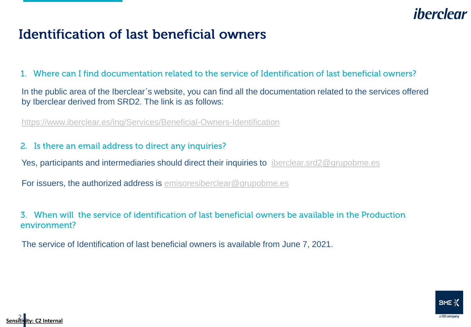# iberclear

## **Identification of last beneficial owners**

 $1<sup>1</sup>$ Where can I find documentation related to the service of Identification of last beneficial owners?

In the public area of the Iberclear´s website, you can find all the documentation related to the services offered by Iberclear derived from SRD2. The link is as follows:

<https://www.iberclear.es/ing/Services/Beneficial-Owners-Identification>

2. Is there an email address to direct any inquiries?

Yes, participants and intermediaries should direct their inquiries to [iberclear.srd2@grupobme.es](mailto:iberclear.srd2@grupobme.es)

For issuers, the authorized address is [emisoresiberclear@grupobme.es](mailto:emisoresiberclear@grupobme.es)

3. When will the service of identification of last beneficial owners be available in the Production environment?

The service of Identification of last beneficial owners is available from June 7, 2021.



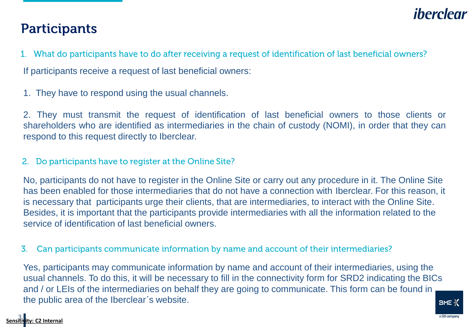## iherclear

## **Participants**

- 1. What do participants have to do after receiving a request of identification of last beneficial owners? If participants receive a request of last beneficial owners:
- 1. They have to respond using the usual channels.

2. They must transmit the request of identification of last beneficial owners to those clients or shareholders who are identified as intermediaries in the chain of custody (NOMI), in order that they can respond to this request directly to Iberclear.

#### 2. Do participants have to register at the Online Site?

No, participants do not have to register in the Online Site or carry out any procedure in it. The Online Site has been enabled for those intermediaries that do not have a connection with Iberclear. For this reason, it is necessary that participants urge their clients, that are intermediaries, to interact with the Online Site. Besides, it is important that the participants provide intermediaries with all the information related to the service of identification of last beneficial owners.

Can participants communicate information by name and account of their intermediaries?  $\mathbf{3}$ .

Yes, participants may communicate information by name and account of their intermediaries, using the usual channels. To do this, it will be necessary to fill in the connectivity form for SRD2 indicating the BICs and / or LEIs of the intermediaries on behalf they are going to communicate. This form can be found in the public area of the Iberclear´s website.

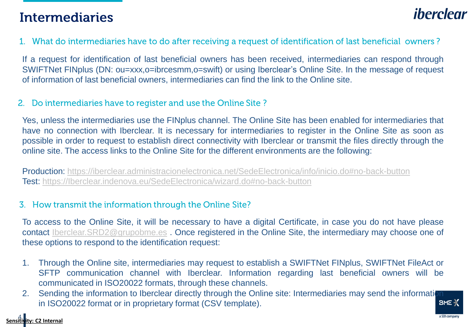## **Intermediaries**

## *iberclear*

#### 1. What do intermediaries have to do after receiving a request of identification of last beneficial owners?

If a request for identification of last beneficial owners has been received, intermediaries can respond through SWIFTNet FINplus (DN: ou=xxx,o=ibrcesmm,o=swift) or using Iberclear's Online Site. In the message of request of information of last beneficial owners, intermediaries can find the link to the Online site.

#### 2. Do intermediaries have to register and use the Online Site?

Yes, unless the intermediaries use the FINplus channel. The Online Site has been enabled for intermediaries that have no connection with Iberclear. It is necessary for intermediaries to register in the Online Site as soon as possible in order to request to establish direct connectivity with Iberclear or transmit the files directly through the online site. The access links to the Online Site for the different environments are the following:

Production: <https://iberclear.administracionelectronica.net/SedeElectronica/info/inicio.do#no-back-button> Test: [https://Iberclear.indenova.eu/SedeElectronica/wizard.do#no-back-button](https://iberclear.indenova.eu/SedeElectronica/wizard.do#no-back-button)

#### 3. How transmit the information through the Online Site?

To access to the Online Site, it will be necessary to have a digital Certificate, in case you do not have please contact [Iberclear.SRD2@grupobme.es](mailto:Iberclear.SRD2@grupobme.es) . Once registered in the Online Site, the intermediary may choose one of these options to respond to the identification request:

- 1. Through the Online site, intermediaries may request to establish a SWIFTNet FINplus, SWIFTNet FileAct or SFTP communication channel with Iberclear. Information regarding last beneficial owners will be communicated in ISO20022 formats, through these channels.
- 2. Sending the information to Iberclear directly through the Online site: Intermediaries may send the information in ISO20022 format or in proprietary format (CSV template). $BME \rightarrow$

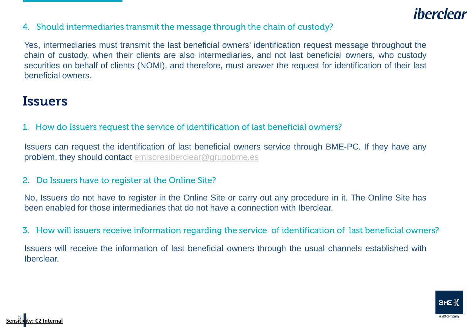## iberclear

4. Should intermediaries transmit the message through the chain of custody?

Yes, intermediaries must transmit the last beneficial owners' identification request message throughout the chain of custody, when their clients are also intermediaries, and not last beneficial owners, who custody securities on behalf of clients (NOMI), and therefore, must answer the request for identification of their last beneficial owners.

#### **Issuers**

1. How do Issuers request the service of identification of last beneficial owners?

Issuers can request the identification of last beneficial owners service through BME-PC. If they have any problem, they should contact [emisoresiberclear@grupobme.es](mailto:emisoresiberclear@grupobme.es)

#### 2. Do Issuers have to register at the Online Site?

No, Issuers do not have to register in the Online Site or carry out any procedure in it. The Online Site has been enabled for those intermediaries that do not have a connection with Iberclear.

3. How will issuers receive information regarding the service of identification of last beneficial owners?

Issuers will receive the information of last beneficial owners through the usual channels established with Iberclear.